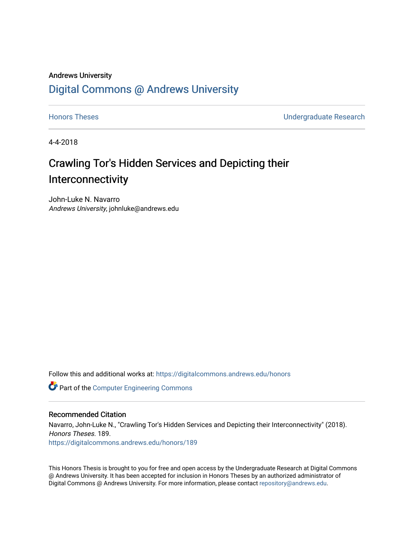## Andrews University [Digital Commons @ Andrews University](https://digitalcommons.andrews.edu/)

[Honors Theses](https://digitalcommons.andrews.edu/honors) [Undergraduate Research](https://digitalcommons.andrews.edu/undergrad) 

4-4-2018

# Crawling Tor's Hidden Services and Depicting their Interconnectivity

John-Luke N. Navarro Andrews University, johnluke@andrews.edu

Follow this and additional works at: [https://digitalcommons.andrews.edu/honors](https://digitalcommons.andrews.edu/honors?utm_source=digitalcommons.andrews.edu%2Fhonors%2F189&utm_medium=PDF&utm_campaign=PDFCoverPages) 

Part of the [Computer Engineering Commons](http://network.bepress.com/hgg/discipline/258?utm_source=digitalcommons.andrews.edu%2Fhonors%2F189&utm_medium=PDF&utm_campaign=PDFCoverPages) 

### Recommended Citation

Navarro, John-Luke N., "Crawling Tor's Hidden Services and Depicting their Interconnectivity" (2018). Honors Theses. 189. [https://digitalcommons.andrews.edu/honors/189](https://digitalcommons.andrews.edu/honors/189?utm_source=digitalcommons.andrews.edu%2Fhonors%2F189&utm_medium=PDF&utm_campaign=PDFCoverPages) 

This Honors Thesis is brought to you for free and open access by the Undergraduate Research at Digital Commons @ Andrews University. It has been accepted for inclusion in Honors Theses by an authorized administrator of Digital Commons @ Andrews University. For more information, please contact [repository@andrews.edu](mailto:repository@andrews.edu).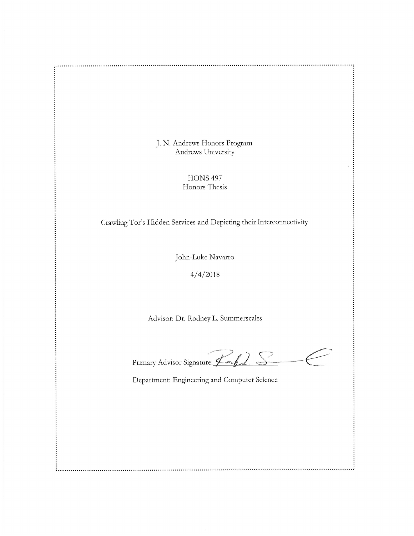J. N. Andrews Honors Program Andrews University

:<br>:.....*:* 

**HONS 497** Honors Thesis

Crawling Tor's Hidden Services and Depicting their Interconnectivity

John-Luke Navarro

 $4/4/2018$ 

Advisor: Dr. Rodney L. Summerscales

Primary Advisor Signature: Loch  $\geq$ 

Department: Engineering and Computer Science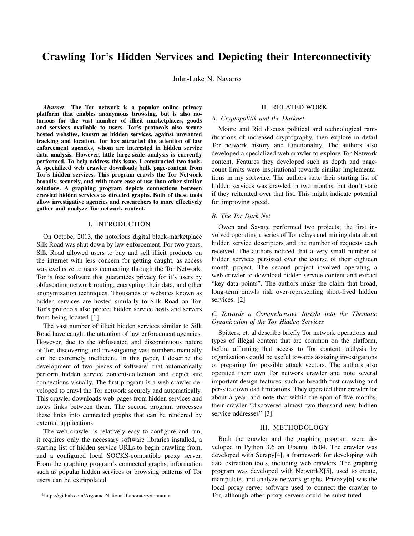## Crawling Tor's Hidden Services and Depicting their Interconnectivity

John-Luke N. Navarro

*Abstract*— The Tor network is a popular online privacy platform that enables anonymous browsing, but is also notorious for the vast number of illicit marketplaces, goods and services available to users. Tor's protocols also secure hosted websites, known as hidden services, against unwanted tracking and location. Tor has attracted the attention of law enforcement agencies, whom are interested in hidden service data analysis. However, little large-scale analysis is currently performed. To help address this issue, I constructed two tools. A specialized web crawler downloads bulk page-content from Tor's hidden services. This program crawls the Tor Network broadly, securely, and with more ease of use than other similar solutions. A graphing program depicts connections between crawled hidden services as directed graphs. Both of these tools allow investigative agencies and researchers to more effectively gather and analyze Tor network content.

#### I. INTRODUCTION

On October 2013, the notorious digital black-marketplace Silk Road was shut down by law enforcement. For two years, Silk Road allowed users to buy and sell illicit products on the internet with less concern for getting caught, as access was exclusive to users connecting through the Tor Network. Tor is free software that guarantees privacy for it's users by obfuscating network routing, encrypting their data, and other anonymization techniques. Thousands of websites known as hidden services are hosted similarly to Silk Road on Tor. Tor's protocols also protect hidden service hosts and servers from being located [1].

The vast number of illicit hidden services similar to Silk Road have caught the attention of law enforcement agencies. However, due to the obfuscated and discontinuous nature of Tor, discovering and investigating vast numbers manually can be extremely inefficient. In this paper, I describe the development of two pieces of software<sup>1</sup> that automatically perform hidden service content-collection and depict site connections visually. The first program is a web crawler developed to crawl the Tor network securely and automatically. This crawler downloads web-pages from hidden services and notes links between them. The second program processes these links into connected graphs that can be rendered by external applications.

The web crawler is relatively easy to configure and run; it requires only the necessary software libraries installed, a starting list of hidden service URLs to begin crawling from, and a configured local SOCKS-compatible proxy server. From the graphing program's connected graphs, information such as popular hidden services or browsing patterns of Tor users can be extrapolated.

#### II. RELATED WORK

#### *A. Cryptopolitik and the Darknet*

Moore and Rid discuss political and technological ramifications of increased cryptography, then explore in detail Tor network history and functionality. The authors also developed a specialized web crawler to explore Tor Network content. Features they developed such as depth and pagecount limits were inspirational towards similar implementations in my software. The authors state their starting list of hidden services was crawled in two months, but don't state if they reiterated over that list. This might indicate potential for improving speed.

#### *B. The Tor Dark Net*

Owen and Savage performed two projects; the first involved operating a series of Tor relays and mining data about hidden service descriptors and the number of requests each received. The authors noticed that a very small number of hidden services persisted over the course of their eighteen month project. The second project involved operating a web crawler to download hidden service content and extract "key data points". The authors make the claim that broad, long-term crawls risk over-representing short-lived hidden services. [2]

#### *C. Towards a Comprehensive Insight into the Thematic Organization of the Tor Hidden Services*

Spitters, et. al describe briefly Tor network operations and types of illegal content that are common on the platform, before affirming that access to Tor content analysis by organizations could be useful towards assisting investigations or preparing for possible attack vectors. The authors also operated their own Tor network crawler and note several important design features, such as breadth-first crawling and per-site download limitations. They operated their crawler for about a year, and note that within the span of five months, their crawler "discovered almost two thousand new hidden service addresses" [3].

#### III. METHODOLOGY

Both the crawler and the graphing program were developed in Python 3.6 on Ubuntu 16.04. The crawler was developed with Scrapy[4], a framework for developing web data extraction tools, including web crawlers. The graphing program was developed with NetworkX[5], used to create, manipulate, and analyze network graphs. Privoxy[6] was the local proxy server software used to connect the crawler to Tor, although other proxy servers could be substituted.

<sup>1</sup>https://github.com/Argonne-National-Laboratory/torantula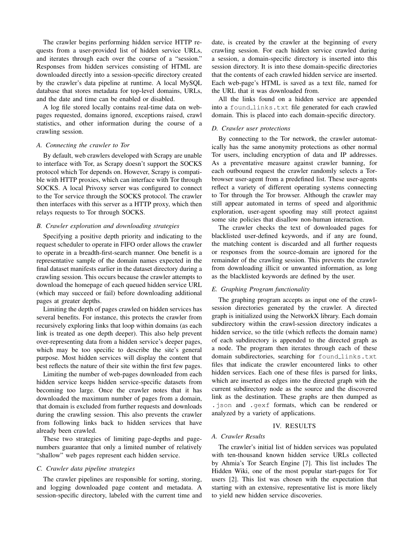The crawler begins performing hidden service HTTP requests from a user-provided list of hidden service URLs, and iterates through each over the course of a "session." Responses from hidden services consisting of HTML are downloaded directly into a session-specific directory created by the crawler's data pipeline at runtime. A local MySQL database that stores metadata for top-level domains, URLs, and the date and time can be enabled or disabled.

A log file stored locally contains real-time data on webpages requested, domains ignored, exceptions raised, crawl statistics, and other information during the course of a crawling session.

#### *A. Connecting the crawler to Tor*

By default, web crawlers developed with Scrapy are unable to interface with Tor, as Scrapy doesn't support the SOCKS protocol which Tor depends on. However, Scrapy is compatible with HTTP proxies, which can interface with Tor through SOCKS. A local Privoxy server was configured to connect to the Tor service through the SOCKS protocol. The crawler then interfaces with this server as a HTTP proxy, which then relays requests to Tor through SOCKS.

#### *B. Crawler exploration and downloading strategies*

Specifying a positive depth priority and indicating to the request scheduler to operate in FIFO order allows the crawler to operate in a breadth-first-search manner. One benefit is a representative sample of the domain names expected in the final dataset manifests earlier in the dataset directory during a crawling session. This occurs because the crawler attempts to download the homepage of each queued hidden service URL (which may succeed or fail) before downloading additional pages at greater depths.

Limiting the depth of pages crawled on hidden services has several benefits. For instance, this protects the crawler from recursively exploring links that loop within domains (as each link is treated as one depth deeper). This also help prevent over-representing data from a hidden service's deeper pages, which may be too specific to describe the site's general purpose. Most hidden services will display the content that best reflects the nature of their site within the first few pages.

Limiting the number of web-pages downloaded from each hidden service keeps hidden service-specific datasets from becoming too large. Once the crawler notes that it has downloaded the maximum number of pages from a domain, that domain is excluded from further requests and downloads during the crawling session. This also prevents the crawler from following links back to hidden services that have already been crawled.

These two strategies of limiting page-depths and pagenumbers guarantee that only a limited number of relatively "shallow" web pages represent each hidden service.

#### *C. Crawler data pipeline strategies*

The crawler pipelines are responsible for sorting, storing, and logging downloaded page content and metadata. A session-specific directory, labeled with the current time and date, is created by the crawler at the beginning of every crawling session. For each hidden service crawled during a session, a domain-specific directory is inserted into this session directory. It is into these domain-specific directories that the contents of each crawled hidden service are inserted. Each web-page's HTML is saved as a text file, named for the URL that it was downloaded from.

All the links found on a hidden service are appended into a found links.txt file generated for each crawled domain. This is placed into each domain-specific directory.

#### *D. Crawler user protections*

By connecting to the Tor network, the crawler automatically has the same anonymity protections as other normal Tor users, including encryption of data and IP addresses. As a preventative measure against crawler banning, for each outbound request the crawler randomly selects a Torbrowser user-agent from a predefined list. These user-agents reflect a variety of different operating systems connecting to Tor through the Tor browser. Although the crawler may still appear automated in terms of speed and algorithmic exploration, user-agent spoofing may still protect against some site policies that disallow non-human interaction.

The crawler checks the text of downloaded pages for blacklisted user-defined keywords, and if any are found, the matching content is discarded and all further requests or responses from the source-domain are ignored for the remainder of the crawling session. This prevents the crawler from downloading illicit or unwanted information, as long as the blacklisted keywords are defined by the user.

#### *E. Graphing Program functionality*

The graphing program accepts as input one of the crawlsession directories generated by the crawler. A directed graph is initialized using the NetworkX library. Each domain subdirectory within the crawl-session directory indicates a hidden service, so the title (which reflects the domain name) of each subdirectory is appended to the directed graph as a node. The program then iterates through each of these domain subdirectories, searching for found links.txt files that indicate the crawler encountered links to other hidden services. Each one of these files is parsed for links, which are inserted as edges into the directed graph with the current subdirectory node as the source and the discovered link as the destination. These graphs are then dumped as .json and .gexf formats, which can be rendered or analyzed by a variety of applications.

#### IV. RESULTS

#### *A. Crawler Results*

The crawler's initial list of hidden services was populated with ten-thousand known hidden service URLs collected by Ahmia's Tor Search Engine [7]. This list includes The Hidden Wiki, one of the most popular start-pages for Tor users [2]. This list was chosen with the expectation that starting with an extensive, representative list is more likely to yield new hidden service discoveries.